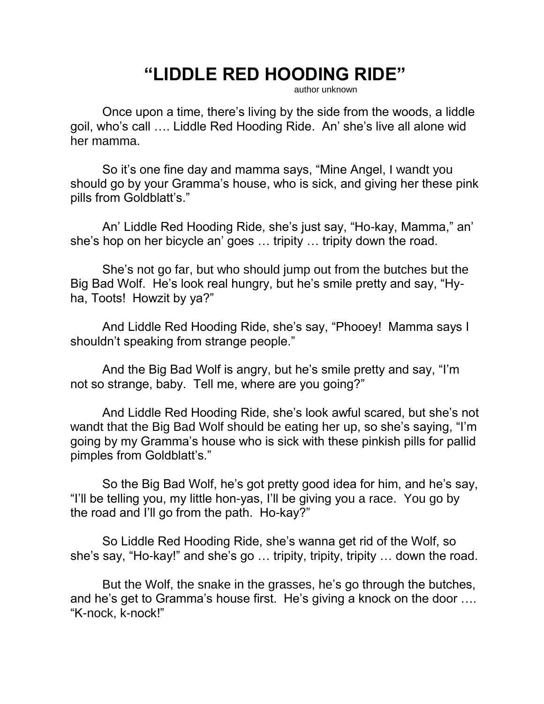## **"LIDDLE RED HOODING RIDE"**

author unknown

Once upon a time, there's living by the side from the woods, a liddle goil, who's call …. Liddle Red Hooding Ride. An' she's live all alone wid her mamma.

So it's one fine day and mamma says, "Mine Angel, I wandt you should go by your Gramma's house, who is sick, and giving her these pink pills from Goldblatt's."

An' Liddle Red Hooding Ride, she's just say, "Ho-kay, Mamma," an' she's hop on her bicycle an' goes … tripity … tripity down the road.

She's not go far, but who should jump out from the butches but the Big Bad Wolf. He's look real hungry, but he's smile pretty and say, "Hyha, Toots! Howzit by ya?"

And Liddle Red Hooding Ride, she's say, "Phooey! Mamma says I shouldn't speaking from strange people."

And the Big Bad Wolf is angry, but he's smile pretty and say, "I'm not so strange, baby. Tell me, where are you going?"

And Liddle Red Hooding Ride, she's look awful scared, but she's not wandt that the Big Bad Wolf should be eating her up, so she's saying, "I'm going by my Gramma's house who is sick with these pinkish pills for pallid pimples from Goldblatt's."

So the Big Bad Wolf, he's got pretty good idea for him, and he's say, "I'll be telling you, my little hon-yas, I'll be giving you a race. You go by the road and I'll go from the path. Ho-kay?"

So Liddle Red Hooding Ride, she's wanna get rid of the Wolf, so she's say, "Ho-kay!" and she's go … tripity, tripity, tripity … down the road.

But the Wolf, the snake in the grasses, he's go through the butches, and he's get to Gramma's house first. He's giving a knock on the door …. "K-nock, k-nock!"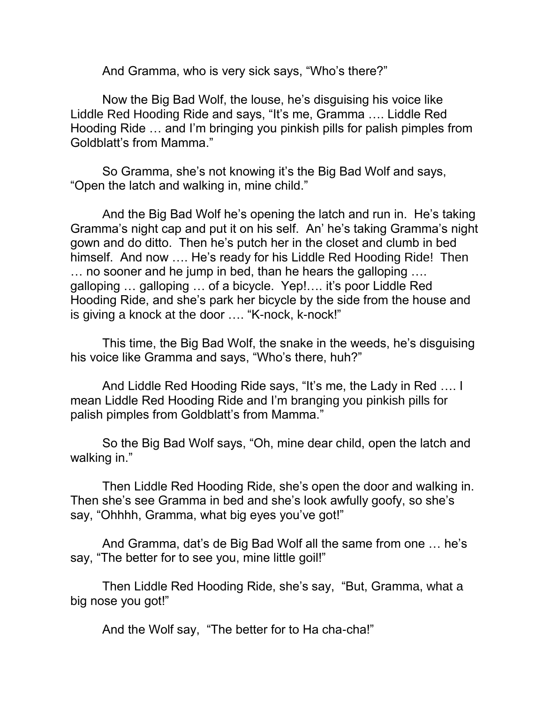And Gramma, who is very sick says, "Who's there?"

Now the Big Bad Wolf, the louse, he's disguising his voice like Liddle Red Hooding Ride and says, "It's me, Gramma …. Liddle Red Hooding Ride … and I'm bringing you pinkish pills for palish pimples from Goldblatt's from Mamma."

So Gramma, she's not knowing it's the Big Bad Wolf and says, "Open the latch and walking in, mine child."

And the Big Bad Wolf he's opening the latch and run in. He's taking Gramma's night cap and put it on his self. An' he's taking Gramma's night gown and do ditto. Then he's putch her in the closet and clumb in bed himself. And now …. He's ready for his Liddle Red Hooding Ride! Then … no sooner and he jump in bed, than he hears the galloping …. galloping … galloping … of a bicycle. Yep!…. it's poor Liddle Red Hooding Ride, and she's park her bicycle by the side from the house and is giving a knock at the door …. "K-nock, k-nock!"

This time, the Big Bad Wolf, the snake in the weeds, he's disguising his voice like Gramma and says, "Who's there, huh?"

And Liddle Red Hooding Ride says, "It's me, the Lady in Red …. I mean Liddle Red Hooding Ride and I'm branging you pinkish pills for palish pimples from Goldblatt's from Mamma."

So the Big Bad Wolf says, "Oh, mine dear child, open the latch and walking in."

Then Liddle Red Hooding Ride, she's open the door and walking in. Then she's see Gramma in bed and she's look awfully goofy, so she's say, "Ohhhh, Gramma, what big eyes you've got!"

And Gramma, dat's de Big Bad Wolf all the same from one … he's say, "The better for to see you, mine little goil!"

Then Liddle Red Hooding Ride, she's say, "But, Gramma, what a big nose you got!"

And the Wolf say, "The better for to Ha cha-cha!"